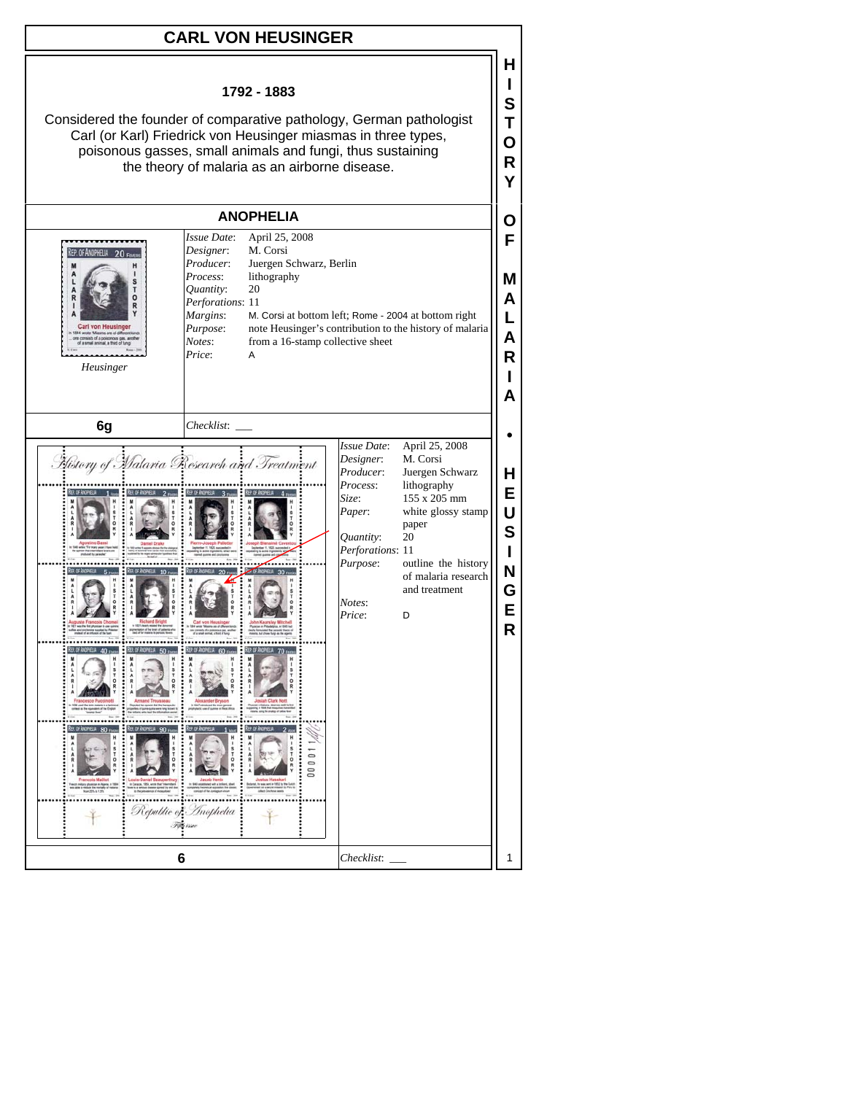